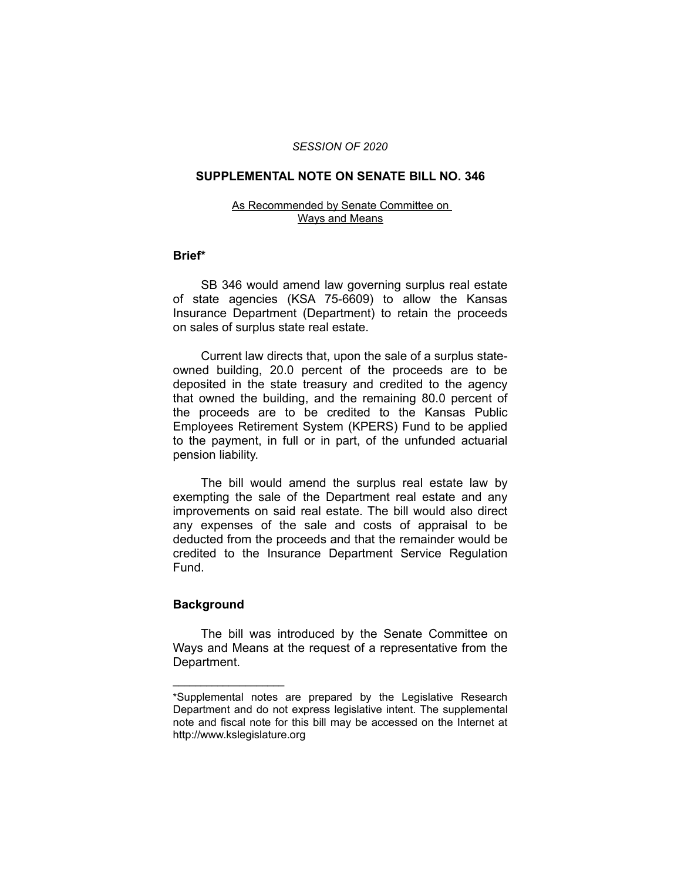### *SESSION OF 2020*

## **SUPPLEMENTAL NOTE ON SENATE BILL NO. 346**

#### As Recommended by Senate Committee on Ways and Means

## **Brief\***

SB 346 would amend law governing surplus real estate of state agencies (KSA 75-6609) to allow the Kansas Insurance Department (Department) to retain the proceeds on sales of surplus state real estate.

Current law directs that, upon the sale of a surplus stateowned building, 20.0 percent of the proceeds are to be deposited in the state treasury and credited to the agency that owned the building, and the remaining 80.0 percent of the proceeds are to be credited to the Kansas Public Employees Retirement System (KPERS) Fund to be applied to the payment, in full or in part, of the unfunded actuarial pension liability.

The bill would amend the surplus real estate law by exempting the sale of the Department real estate and any improvements on said real estate. The bill would also direct any expenses of the sale and costs of appraisal to be deducted from the proceeds and that the remainder would be credited to the Insurance Department Service Regulation Fund.

# **Background**

 $\overline{\phantom{a}}$  , where  $\overline{\phantom{a}}$ 

The bill was introduced by the Senate Committee on Ways and Means at the request of a representative from the Department.

<sup>\*</sup>Supplemental notes are prepared by the Legislative Research Department and do not express legislative intent. The supplemental note and fiscal note for this bill may be accessed on the Internet at http://www.kslegislature.org